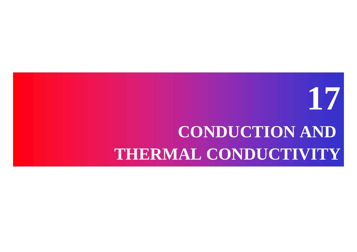# **17CONDUCTION AND THERMAL CONDUCTIVITY**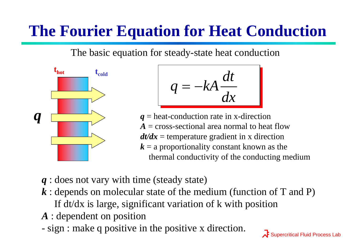# **The Fourier Equation for Heat Conduction**

The basic equation for steady-state heat conduction



$$
q = -kA \frac{dt}{dx}
$$

*q* = heat-conduction rate in x-direction *A* = cross-sectional area normal to heat flow*dt/dx* = temperature gradient in x direction *k* = a proportionality constant known as the thermal conductivity of the conducting medium

- *q* : does not vary with time (steady state)
- *k* : depends on molecular state of the medium (function of T and P) If dt/dx is large, significant variation of k with position
- *A* : dependent on position
- sign : make q positive in the positive x direction.

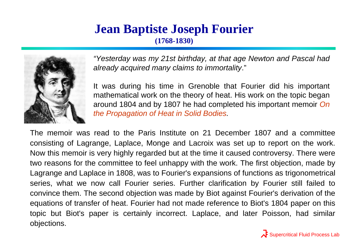#### **Jean Baptiste Joseph Fourier (1768-1830)**



*"Yesterday was my 21st birthday, at that age Newton and Pascal had already acquired many claims to immortality*."

It was during his time in Grenoble that Fourier did his important mathematical work on the theory of heat. His work on the topic began around 1804 and by 1807 he had completed his important memoir *On the Propagation of Heat in Solid Bodies.*

The memoir was read to the Paris Institute on 21 December 1807 and a committee consisting of Lagrange, Laplace, Monge and Lacroix was set up to report on the work. Now this memoir is very highly regarded but at the time it caused controversy. There were two reasons for the committee to feel unhappy with the work. The first objection, made by Lagrange and Laplace in 1808, was to Fourier's expansions of functions as trigonometrical series, what we now call Fourier series. Further clarification by Fourier still failed to convince them. The second objection was made by Biot against Fourier's derivation of the equations of transfer of heat. Fourier had not made reference to Biot's 1804 paper on this topic but Biot's paper is certainly incorrect. Laplace, and later Poisson, had similar objections.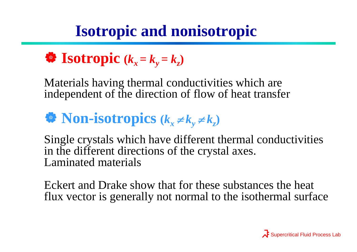# **Isotropic and nonisotropic**

$$
\bullet \quad \textbf{Isotropic } (k_x = k_y = k_z)
$$

Materials having thermal conductivities which are independent of the direction of flow of heat transfer

#### **W** Non-isotropics  $(k_x \neq 0)$  $k_{y} \neq k_{z}$

Single crystals which have different thermal conductivities in the different directions of the crystal axes. Laminated materials

Eckert and Drake show that for these substances the heat flux vector is generally not normal to the isothermal surface

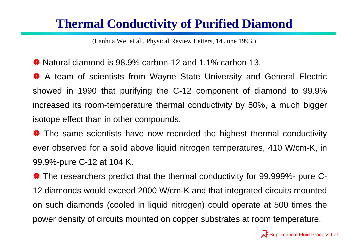### **Thermal Conductivity of Purified Diamond**

(Lanhua Wei et al., Physical Review Letters, 14 June 1993.)

 $\bullet$  Natural diamond is 98.9% carbon-12 and 1.1% carbon-13.

<sup>2</sup> A team of scientists from Wayne State University and General Electric showed in 1990 that purifying the C-12 component of diamond to 99.9% increased its room-temperature thermal conductivity by 50%, a much bigger isotope effect than in other compounds.

• The same scientists have now recorded the highest thermal conductivity ever observed for a solid above liquid nitrogen temperatures, 410 W/cm-K, in 99.9%-pure C-12 at 104 K.

The researchers predict that the thermal conductivity for 99.999%- pure C-12 diamonds would exceed 2000 W/cm-K and that integrated circuits mounted on such diamonds (cooled in liquid nitrogen) could operate at 500 times the power density of circuits mounted on copper substrates at room temperature.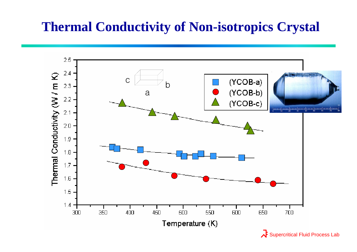### **Thermal Conductivity of Non-isotropics Crystal**

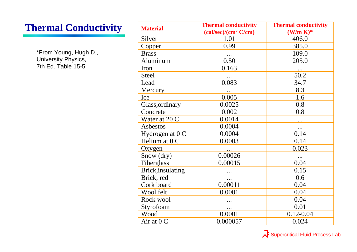### **Thermal Conductivity**

\*From Young, Hugh D., University Physics, 7th Ed. Table 15-5.

| <b>Material</b>   | <b>Thermal conductivity</b>      | <b>Thermal conductivity</b> |
|-------------------|----------------------------------|-----------------------------|
|                   | (cal/sec)/(cm <sup>2</sup> C/cm) | $(W/m K)^*$                 |
| Silver            | 1.01                             | 406.0                       |
| Copper            | 0.99                             | 385.0                       |
| <b>Brass</b>      |                                  | 109.0                       |
| Aluminum          | 0.50                             | 205.0                       |
| Iron              | 0.163                            | $\cdots$                    |
| <b>Steel</b>      |                                  | 50.2                        |
| Lead              | 0.083                            | 34.7                        |
| Mercury           | $\cdots$                         | 8.3                         |
| Ice               | 0.005                            | 1.6                         |
| Glass, ordinary   | 0.0025                           | 0.8                         |
| Concrete          | 0.002                            | 0.8                         |
| Water at 20 C     | 0.0014                           |                             |
| Asbestos          | 0.0004                           |                             |
| Hydrogen at $0C$  | 0.0004                           | 0.14                        |
| Helium at 0 C     | 0.0003                           | 0.14                        |
| Oxygen            |                                  | 0.023                       |
| Snow (dry)        | 0.00026                          | $\ddotsc$                   |
| Fiberglass        | 0.00015                          | 0.04                        |
| Brick, insulating |                                  | 0.15                        |
| Brick, red        |                                  | 0.6                         |
| Cork board        | 0.00011                          | 0.04                        |
| Wool felt         | 0.0001                           | 0.04                        |
| Rock wool         |                                  | 0.04                        |
| Styrofoam         | $\cdots$                         | 0.01                        |
| Wood              | 0.0001                           | $0.12 - 0.04$               |
| Air at 0 C        | 0.000057                         | 0.024                       |

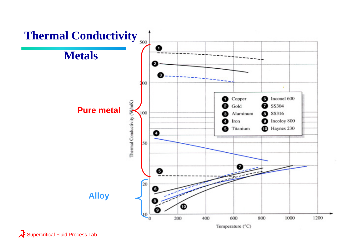

Supercritical Fluid Process Lab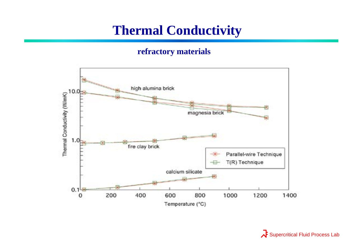### **Thermal Conductivity**

#### **refractory materials**



 $\lambda$  Supercritical Fluid Process Lab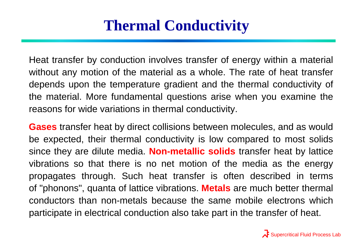### **Thermal Conductivity**

Heat transfer by conduction involves transfer of energy within a material without any motion of the material as a whole. The rate of heat transfer depends upon the temperature gradient and the thermal conductivity of the material. More fundamental questions arise when you examine the reasons for wide variations in thermal conductivity.

**Gases** transfer heat by direct collisions between molecules, and as would be expected, their thermal conductivity is low compared to most solids since they are dilute media. **Non-metallic solids** transfer heat by lattice vibrations so that there is no net motion of the media as the energy propagates through. Such heat transfer is often described in terms of "phonons", quanta of lattice vibrations. **Metals** are much better thermal conductors than non-metals because the same mobile electrons which participate in electrical conduction also take part in the transfer of heat.

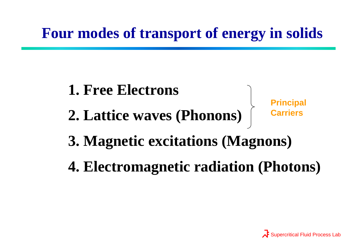# **Four modes of transport of energy in solids**

# **1. Free Electrons**

**2. Lattice waves (Phonons)**

**Principal Carriers**

# **3. Magnetic excitations (Magnons)**

**4. Electromagnetic radiation (Photons)**

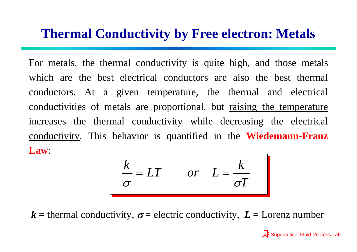### **Thermal Conductivity by Free electron: Metals**

For metals, the thermal conductivity is quite high, and those metals which are the best electrical conductors are also the best thermal conductors. At a given temperature, the thermal and electrical conductivities of metals are proportional, but raising the temperature increases the thermal conductivity while decreasing the electrical conductivity. This behavior is quantified in the **Wiedemann-Franz Law**:

$$
\frac{k}{\sigma} = LT \qquad or \quad L = \frac{k}{\sigma T}
$$

 $k$  = thermal conductivity,  $\sigma$  = electric conductivity,  $L$  = Lorenz number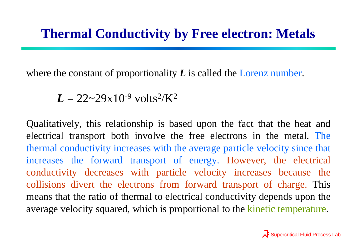where the constant of proportionality *L* is called the Lorenz number.

 $L = 22 \sim 29 \times 10^{-9}$  volts<sup>2</sup>/K<sup>2</sup>

Qualitatively, this relationship is based upon the fact that the heat and electrical transport both involve the free electrons in the metal. The thermal conductivity increases with the average particle velocity since that increases the forward transport of energy. However, the electrical conductivity decreases with particle velocity increases because the collisions divert the electrons from forward transport of charge. This means that the ratio of thermal to electrical conductivity depends upon the average velocity squared, which is proportional to the kinetic temperature.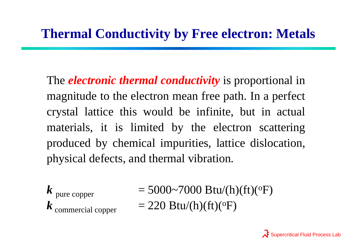The *electronic thermal conductivity* is proportional in magnitude to the electron mean free path. In a perfect crystal lattice this would be infinite, but in actual materials, it is limited by the electron scattering produced by chemical impurities, lattice dislocation, physical defects, and thermal vibration.

*k* pure copper *k*

 $= 5000-7000$  Btu/(h)(ft)(<sup>o</sup>F) commercial copper  $= 220 \text{ Btu/h}(ft)(ff)(^{\circ}F)$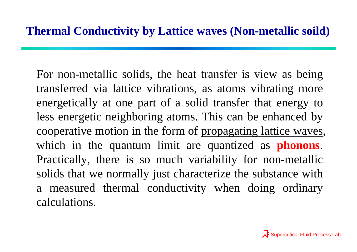For non-metallic solids, the heat transfer is view as being transferred via lattice vibrations, as atoms vibrating more energetically at one part of a solid transfer that energy to less energetic neighboring atoms. This can be enhanced by cooperative motion in the form of propagating lattice waves, which in the quantum limit are quantized as **phonons**. Practically, there is so much variability for non-metallic solids that we normally just characterize the substance with a measured thermal conductivity when doing ordinary calculations.

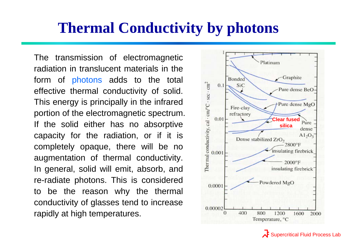### **Thermal Conductivity by photons**

The transmission of electromagnetic radiation in translucent materials in the form of photons adds to the total effective thermal conductivity of solid. This energy is principally in the infrared portion of the electromagnetic spectrum. If the solid either has no absorptive capacity for the radiation, or if it is completely opaque, there will be no augmentation of thermal conductivity. In general, solid will emit, absorb, and re-radiate photons. This is considered to be the reason why the thermal conductivity of glasses tend to increase rapidly at high temperatures.



Supercritical Fluid Process Lab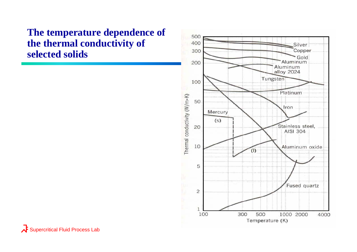#### **The temperature dependence of the thermal conductivity of selected solids**



Supercritical Fluid Process Lab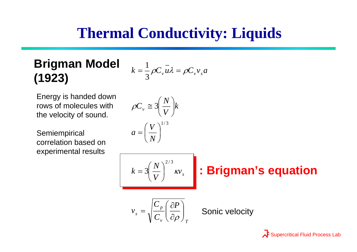# **Thermal Conductivity: Liquids**

### **Brigman Model (1923)**

$$
k = \frac{1}{3}\rho C_v \overline{u}\lambda = \rho C_v v_s a
$$

Energy is handed down rows of molecules with the velocity of sound.

**Semiempirical** correlation based on experimental results

$$
\rho C_{v} \approx 3 \left( \frac{N}{V} \right) k
$$
\n
$$
a = \left( \frac{V}{N} \right)^{1/3} w_{s}
$$
\n
$$
k = 3 \left( \frac{N}{V} \right)^{2/3} w_{s}
$$
\n
$$
\therefore \text{Brigman's equation}
$$
\n
$$
v_{s} = \sqrt{\frac{C_{p}}{C_{v}} \left( \frac{\partial P}{\partial \rho} \right)_{T}}
$$
\nSonic velocity

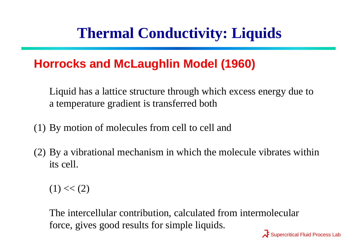# **Thermal Conductivity: Liquids**

### **Horrocks and McLaughlin Model (1960)**

Liquid has a lattice structure through which excess energy due to a temperature gradient is transferred both

- (1) By motion of molecules from cell to cell and
- (2) By a vibrational mechanism in which the molecule vibrates within its cell.

 $(1) \ll (2)$ 

The intercellular contribution, calculated from intermolecular force, gives good results for simple liquids.

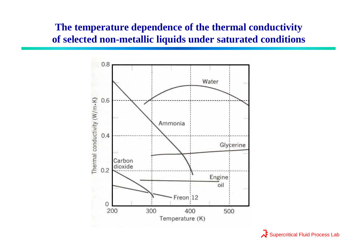#### **The temperature dependence of the thermal conductivity of selected non-metallic liquids under saturated conditions**



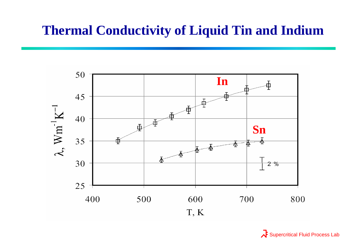### **Thermal Conductivity of Liquid Tin and Indium**



 $\overrightarrow{A}$  Supercritical Fluid Process Lab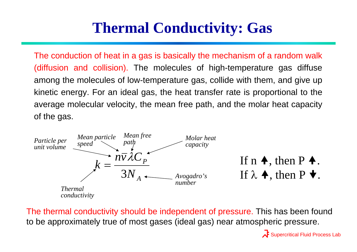### **Thermal Conductivity: Gas**

The conduction of heat in a gas is basically the mechanism of a random walk (diffusion and collision). The molecules of high-temperature gas diffuse among the molecules of low-temperature gas, collide with them, and give up kinetic energy. For an ideal gas, the heat transfer rate is proportional to the average molecular velocity, the mean free path, and the molar heat capacity of the gas.



The thermal conductivity should be independent of pressure. This has been found to be approximately true of most gases (ideal gas) near atmospheric pressure.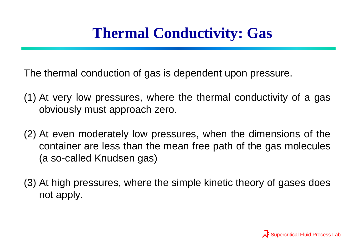# **Thermal Conductivity: Gas**

The thermal conduction of gas is dependent upon pressure.

- (1) At very low pressures, where the thermal conductivity of a gas obviously must approach zero.
- (2) At even moderately low pressures, when the dimensions of the container are less than the mean free path of the gas molecules (a so-called Knudsen gas)
- (3) At high pressures, where the simple kinetic theory of gases does not apply.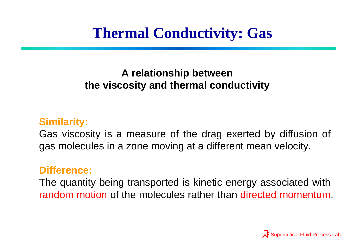# **Thermal Conductivity: Gas**

### **A relationship between the viscosity and thermal conductivity**

#### **Similarity:**

Gas viscosity is a measure of the drag exerted by diffusion of gas molecules in a zone moving at a different mean velocity.

#### **Difference:**

The quantity being transported is kinetic energy associated with random motion of the molecules rather than directed momentum.

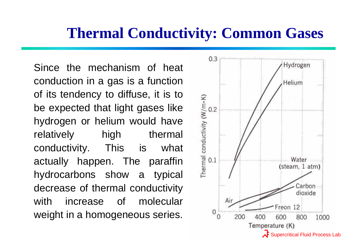### **Thermal Conductivity: Common Gases**

Since the mechanism of heat conduction in a gas is a function of its tendency to diffuse, it is to be expected that light gases like hydrogen or helium would have relatively high thermal conductivity. This is what actually happen. The paraffin hydrocarbons show a typical decrease of thermal conductivity with increase of molecular weight in a homogeneous series.

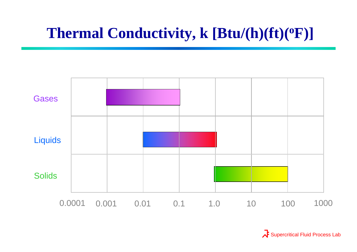# **Thermal Conductivity, k [Btu/(h)(ft)( oF)]**



Supercritical Fluid Process Lab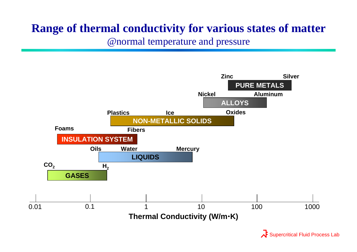### **Range of thermal conductivity for various states of matter**

@normal temperature and pressure

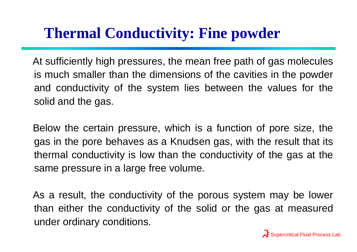# **Thermal Conductivity: Fine powder**

At sufficiently high pressures, the mean free path of gas molecules is much smaller than the dimensions of the cavities in the powder and conductivity of the system lies between the values for the solid and the gas.

Below the certain pressure, which is a function of pore size, the gas in the pore behaves as a Knudsen gas, with the result that its thermal conductivity is low than the conductivity of the gas at the same pressure in a large free volume.

As a result, the conductivity of the porous system may be lower than either the conductivity of the solid or the gas at measured under ordinary conditions.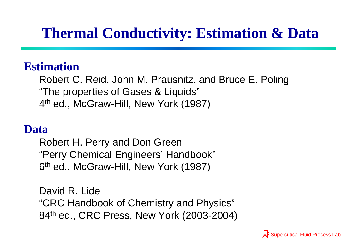# **Thermal Conductivity: Estimation & Data**

### **Estimation**

Robert C. Reid, John M. Prausnitz, and Bruce E. Poling "The properties of Gases & Liquids" 4th ed., McGraw-Hill, New York (1987)

### **Data**

Robert H. Perry and Don Green "Perry Chemical Engineers' Handbook" 6th ed., McGraw-Hill, New York (1987)

David R. Lide"CRC Handbook of Chemistry and Physics" 84<sup>th</sup> ed., CRC Press, New York (2003-2004)